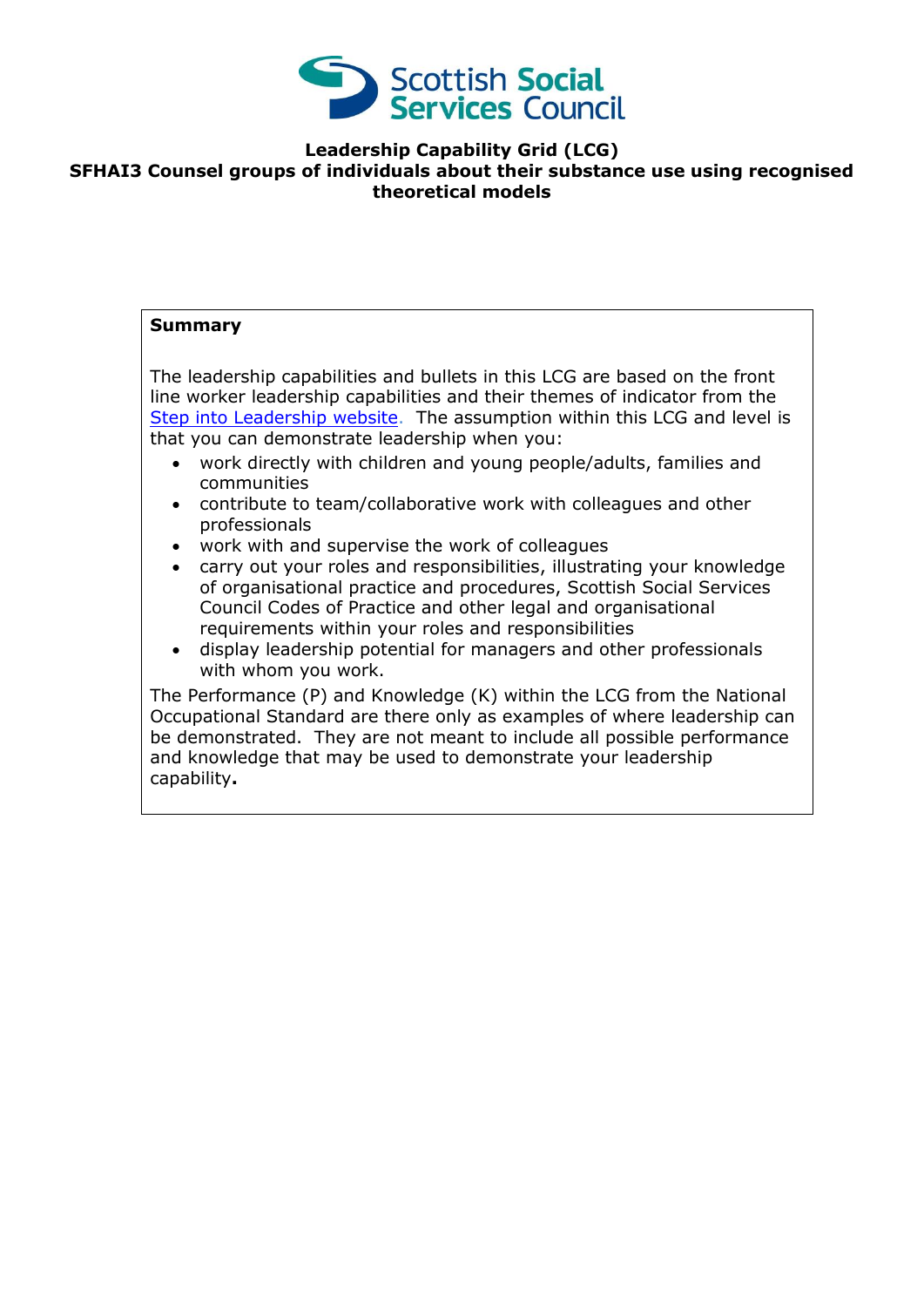

**Leadership Capability Grid (LCG)**

#### **SFHAI3 Counsel groups of individuals about their substance use using recognised theoretical models**

#### **Summary**

The leadership capabilities and bullets in this LCG are based on the front line worker leadership capabilities and their themes of indicator from the [Step into Leadership website.](http://www.stepintoleadership.info/) The assumption within this LCG and level is that you can demonstrate leadership when you:

- work directly with children and young people/adults, families and communities
- contribute to team/collaborative work with colleagues and other professionals
- work with and supervise the work of colleagues
- carry out your roles and responsibilities, illustrating your knowledge of organisational practice and procedures, Scottish Social Services Council Codes of Practice and other legal and organisational requirements within your roles and responsibilities
- display leadership potential for managers and other professionals with whom you work.

The Performance (P) and Knowledge (K) within the LCG from the National Occupational Standard are there only as examples of where leadership can be demonstrated. They are not meant to include all possible performance and knowledge that may be used to demonstrate your leadership capability**.**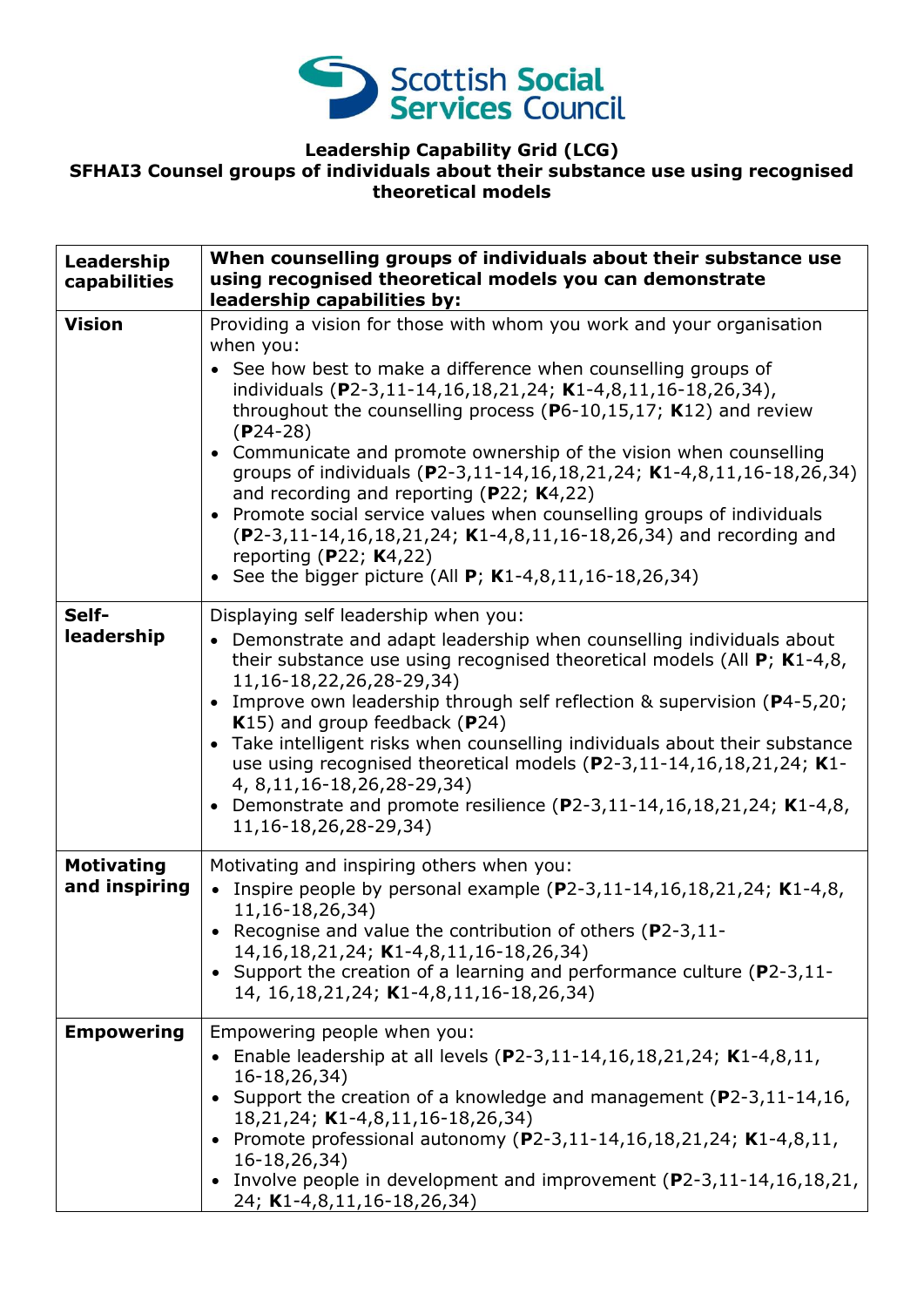

## **Leadership Capability Grid (LCG) SFHAI3 Counsel groups of individuals about their substance use using recognised theoretical models**

| Leadership                         | When counselling groups of individuals about their substance use                                                                                                                                                                                                                                                                                                                                                                                                                                                                                                                                                                                                               |
|------------------------------------|--------------------------------------------------------------------------------------------------------------------------------------------------------------------------------------------------------------------------------------------------------------------------------------------------------------------------------------------------------------------------------------------------------------------------------------------------------------------------------------------------------------------------------------------------------------------------------------------------------------------------------------------------------------------------------|
| capabilities                       | using recognised theoretical models you can demonstrate                                                                                                                                                                                                                                                                                                                                                                                                                                                                                                                                                                                                                        |
|                                    | leadership capabilities by:                                                                                                                                                                                                                                                                                                                                                                                                                                                                                                                                                                                                                                                    |
| <b>Vision</b>                      | Providing a vision for those with whom you work and your organisation<br>when you:                                                                                                                                                                                                                                                                                                                                                                                                                                                                                                                                                                                             |
|                                    | See how best to make a difference when counselling groups of<br>individuals (P2-3,11-14,16,18,21,24; K1-4,8,11,16-18,26,34),<br>throughout the counselling process ( $P6-10,15,17$ ; K12) and review<br>$(P24-28)$<br>Communicate and promote ownership of the vision when counselling<br>$\bullet$<br>groups of individuals (P2-3,11-14,16,18,21,24; K1-4,8,11,16-18,26,34)<br>and recording and reporting ( $P22$ ; K4,22)<br>Promote social service values when counselling groups of individuals<br>$(P2-3, 11-14, 16, 18, 21, 24; K1-4, 8, 11, 16-18, 26, 34)$ and recording and<br>reporting (P22; $K4,22$ )<br>See the bigger picture (All $P$ ; K1-4,8,11,16-18,26,34) |
| Self-                              | Displaying self leadership when you:                                                                                                                                                                                                                                                                                                                                                                                                                                                                                                                                                                                                                                           |
| leadership                         | Demonstrate and adapt leadership when counselling individuals about<br>$\bullet$<br>their substance use using recognised theoretical models (All $P$ ; K1-4,8,<br>11, 16-18, 22, 26, 28-29, 34)<br>Improve own leadership through self reflection & supervision (P4-5,20;<br>K15) and group feedback (P24)<br>Take intelligent risks when counselling individuals about their substance<br>$\bullet$<br>use using recognised theoretical models (P2-3,11-14,16,18,21,24; K1-<br>4, 8, 11, 16 - 18, 26, 28 - 29, 34)<br>Demonstrate and promote resilience $(P2-3, 11-14, 16, 18, 21, 24; K1-4, 8,$<br>$\bullet$<br>11, 16-18, 26, 28-29, 34)                                   |
| <b>Motivating</b><br>and inspiring | Motivating and inspiring others when you:<br>• Inspire people by personal example $(P2-3, 11-14, 16, 18, 21, 24; K1-4, 8,$<br>11, 16 - 18, 26, 34)<br>• Recognise and value the contribution of others ( $P2-3,11-$<br>14, 16, 18, 21, 24; K1-4, 8, 11, 16-18, 26, 34)<br>Support the creation of a learning and performance culture (P2-3,11-                                                                                                                                                                                                                                                                                                                                 |
|                                    | 14, 16, 18, 21, 24; K1-4, 8, 11, 16-18, 26, 34)                                                                                                                                                                                                                                                                                                                                                                                                                                                                                                                                                                                                                                |
| <b>Empowering</b>                  | Empowering people when you:                                                                                                                                                                                                                                                                                                                                                                                                                                                                                                                                                                                                                                                    |
|                                    | • Enable leadership at all levels (P2-3,11-14,16,18,21,24; K1-4,8,11,<br>16-18,26,34)<br>• Support the creation of a knowledge and management (P2-3,11-14,16,<br>18,21,24; K1-4,8,11,16-18,26,34)<br>• Promote professional autonomy (P2-3,11-14,16,18,21,24; K1-4,8,11,<br>16-18,26,34)<br>Involve people in development and improvement $(P2-3, 11-14, 16, 18, 21,$                                                                                                                                                                                                                                                                                                          |
|                                    | 24; K1-4,8,11,16-18,26,34)                                                                                                                                                                                                                                                                                                                                                                                                                                                                                                                                                                                                                                                     |